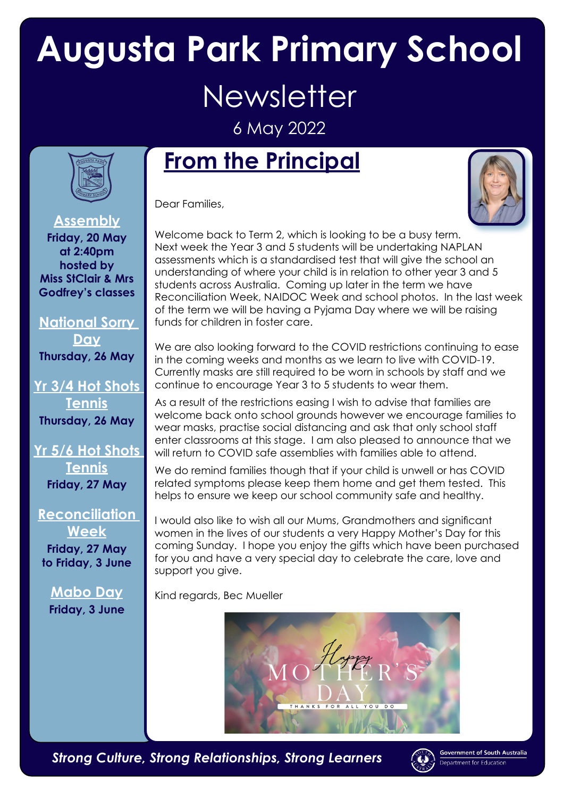## **Augusta Park Primary School Newsletter**

6 May 2022



## **From the Principal**

Dear Families,



**Assembly Friday, 20 May at 2:40pm hosted by Miss StClair & Mrs Godfrey's classes**

**National Sorry Day Thursday, 26 May**

**Yr 3/4 Hot Shots Tennis Thursday, 26 May**

**Yr 5/6 Hot Shots Tennis Friday, 27 May**

**Reconciliation Week Friday, 27 May**

**to Friday, 3 June**

**Mabo Day Friday, 3 June** Welcome back to Term 2, which is looking to be a busy term. Next week the Year 3 and 5 students will be undertaking NAPLAN assessments which is a standardised test that will give the school an understanding of where your child is in relation to other year 3 and 5 students across Australia. Coming up later in the term we have Reconciliation Week, NAIDOC Week and school photos. In the last week of the term we will be having a Pyjama Day where we will be raising funds for children in foster care.

We are also looking forward to the COVID restrictions continuing to ease in the coming weeks and months as we learn to live with COVID-19. Currently masks are still required to be worn in schools by staff and we continue to encourage Year 3 to 5 students to wear them.

As a result of the restrictions easing I wish to advise that families are welcome back onto school grounds however we encourage families to wear masks, practise social distancing and ask that only school staff enter classrooms at this stage. I am also pleased to announce that we will return to COVID safe assemblies with families able to attend.

We do remind families though that if your child is unwell or has COVID related symptoms please keep them home and get them tested. This helps to ensure we keep our school community safe and healthy.

I would also like to wish all our Mums, Grandmothers and significant women in the lives of our students a very Happy Mother's Day for this coming Sunday. I hope you enjoy the gifts which have been purchased for you and have a very special day to celebrate the care, love and support you give.

Kind regards, Bec Mueller



*Strong Culture, Strong Relationships, Strong Learners*



Government of South Australia rtment for Education